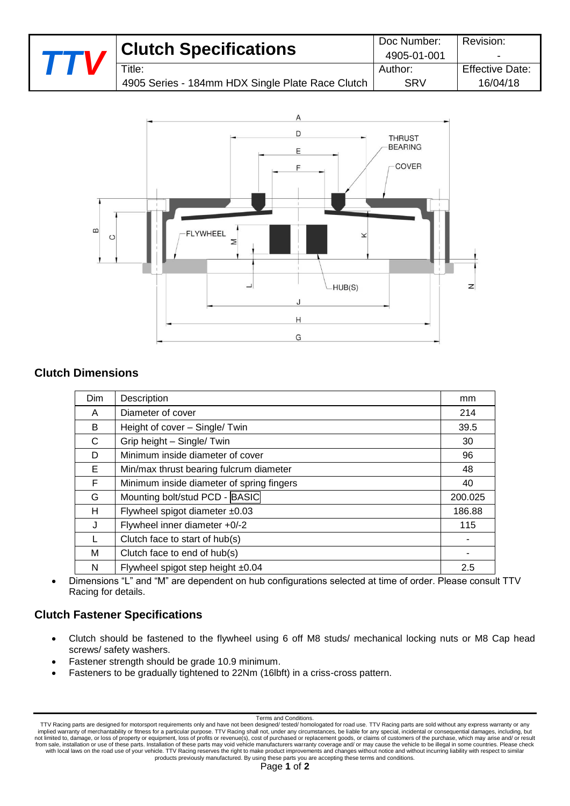| 4905-01-001<br>$T$ itle:<br>Author:              | $\overline{\phantom{a}}$ |
|--------------------------------------------------|--------------------------|
| 4905 Series - 184mm HDX Single Plate Race Clutch | <b>Effective Date:</b>   |
| SRV                                              | 16/04/18                 |



## **Clutch Dimensions**

| Dim | Description                               | mm      |
|-----|-------------------------------------------|---------|
| A   | Diameter of cover                         | 214     |
| B   | Height of cover - Single/ Twin            | 39.5    |
| C   | Grip height - Single/ Twin                | 30      |
| D   | Minimum inside diameter of cover          | 96      |
| E.  | Min/max thrust bearing fulcrum diameter   | 48      |
| F   | Minimum inside diameter of spring fingers | 40      |
| G   | Mounting bolt/stud PCD - BASIC            | 200.025 |
| н   | Flywheel spigot diameter $±0.03$          | 186.88  |
| J   | Flywheel inner diameter +0/-2             | 115     |
|     | Clutch face to start of hub(s)            |         |
| м   | Clutch face to end of hub(s)              |         |
| N   | Flywheel spigot step height ±0.04         | 2.5     |

 Dimensions "L" and "M" are dependent on hub configurations selected at time of order. Please consult TTV Racing for details.

# **Clutch Fastener Specifications**

- Clutch should be fastened to the flywheel using 6 off M8 studs/ mechanical locking nuts or M8 Cap head screws/ safety washers.
- Fastener strength should be grade 10.9 minimum.
- Fasteners to be gradually tightened to 22Nm (16lbft) in a criss-cross pattern.

#### Terms and Conditions.

TTV Racing parts are designed for motorsport requirements only and have not been designed/ tested/ homologated for road use. TTV Racing parts are sold without any express warranty or any<br>implied warranty of merchantability